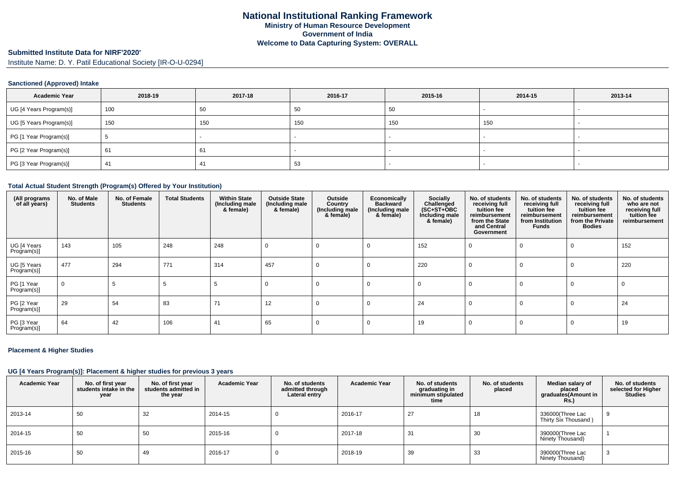# **Submitted Institute Data for NIRF'2020'**

Institute Name: D. Y. Patil Educational Society [IR-O-U-0294]

## **Sanctioned (Approved) Intake**

| <b>Academic Year</b>    | 2018-19 | 2017-18 | 2016-17 | 2015-16 | 2014-15 | 2013-14                  |
|-------------------------|---------|---------|---------|---------|---------|--------------------------|
| UG [4 Years Program(s)] | 100     | 50      | 50      | -50     |         |                          |
| UG [5 Years Program(s)] | 150     | 150     | 150     | 150     | 150     |                          |
| PG [1 Year Program(s)]  |         |         |         |         |         | $\overline{\phantom{a}}$ |
| PG [2 Year Program(s)]  | 61      | 61      |         |         |         |                          |
| PG [3 Year Program(s)]  | 41      | 41      | 53      |         |         |                          |

#### **Total Actual Student Strength (Program(s) Offered by Your Institution)**

| (All programs<br>of all years) | No. of Male<br><b>Students</b> | No. of Female<br><b>Students</b> | <b>Total Students</b> | <b>Within State</b><br>(Including male<br>& female) | <b>Outside State</b><br>(Including male<br>& female) | Outside<br>Country<br>(Including male<br>& female) | Economically<br><b>Backward</b><br>(Including male<br>& female) | Socially<br>Challenged<br>$(SC+ST+OBC)$<br>Including male<br>& female) | No. of students<br>receiving full<br>tuition fee<br>reimbursement<br>from the State<br>and Central<br>Government | No. of students<br>receiving full<br>tuition fee<br>reimbursement<br>from Institution<br>Funds | No. of students<br>receiving full<br>tuition fee<br>reimbursement<br>from the Private<br><b>Bodies</b> | No. of students<br>who are not<br>receiving full<br>tuition fee<br>reimbursement |
|--------------------------------|--------------------------------|----------------------------------|-----------------------|-----------------------------------------------------|------------------------------------------------------|----------------------------------------------------|-----------------------------------------------------------------|------------------------------------------------------------------------|------------------------------------------------------------------------------------------------------------------|------------------------------------------------------------------------------------------------|--------------------------------------------------------------------------------------------------------|----------------------------------------------------------------------------------|
| UG [4 Years<br>Program(s)]     | 143                            | 105                              | 248                   | 248                                                 | $\Omega$                                             | 0                                                  | 0                                                               | 152                                                                    | - 0                                                                                                              | $\mathbf 0$                                                                                    | $\Omega$                                                                                               | 152                                                                              |
| UG [5 Years<br>Program(s)]     | 477                            | 294                              | 771                   | 314                                                 | 457                                                  | $\Omega$                                           | $\Omega$                                                        | 220                                                                    | $\Omega$                                                                                                         | $\Omega$                                                                                       | $\Omega$                                                                                               | 220                                                                              |
| PG [1 Year<br>Program(s)]      | $\Omega$                       |                                  |                       |                                                     | $\Omega$                                             | $\Omega$                                           | $\Omega$                                                        | $\mathbf 0$                                                            | $\Omega$                                                                                                         | $\Omega$                                                                                       | $\Omega$                                                                                               | $\Omega$                                                                         |
| PG [2 Year<br>Program(s)]      | 29                             | 54                               | 83                    | 71                                                  | 12                                                   | 0                                                  | 0                                                               | 24                                                                     | $\Omega$                                                                                                         | 0                                                                                              | $\Omega$                                                                                               | 24                                                                               |
| PG [3 Year<br>Program(s)]      | 64                             | 42                               | 106                   | 41                                                  | 65                                                   |                                                    | $\Omega$                                                        | 19                                                                     | $\Omega$                                                                                                         | $\Omega$                                                                                       | $\Omega$                                                                                               | 19                                                                               |

## **Placement & Higher Studies**

## **UG [4 Years Program(s)]: Placement & higher studies for previous 3 years**

| <b>Academic Year</b> | No. of first year<br>students intake in the<br>year | No. of first year<br>students admitted in<br>the year | <b>Academic Year</b> | No. of students<br>admitted through<br>Lateral entry | <b>Academic Year</b> | No. of students<br>graduating in<br>minimum stipulated<br>time | No. of students<br>placed | Median salary of<br>placed<br>graduates(Amount in<br><b>Rs.)</b> | No. of students<br>selected for Higher<br><b>Studies</b> |
|----------------------|-----------------------------------------------------|-------------------------------------------------------|----------------------|------------------------------------------------------|----------------------|----------------------------------------------------------------|---------------------------|------------------------------------------------------------------|----------------------------------------------------------|
| 2013-14              | 50                                                  | 32                                                    | 2014-15              |                                                      | 2016-17              | 27                                                             | 18                        | 336000(Three Lac<br>Thirty Six Thousand)                         |                                                          |
| 2014-15              | 50                                                  | 50                                                    | 2015-16              |                                                      | 2017-18              | -31                                                            | 30                        | 390000(Three Lac<br>Ninety Thousand)                             |                                                          |
| 2015-16              | 50                                                  | 49                                                    | 2016-17              |                                                      | 2018-19              | 39                                                             | 33                        | 390000(Three Lac<br>Ninety Thousand)                             |                                                          |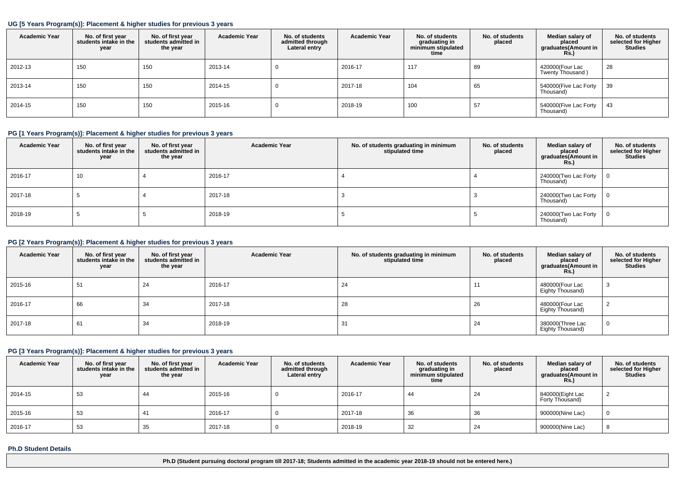## **UG [5 Years Program(s)]: Placement & higher studies for previous 3 years**

| <b>Academic Year</b> | No. of first year<br>students intake in the<br>year | No. of first year<br>students admitted in<br>the year | <b>Academic Year</b> | No. of students<br>admitted through<br>Lateral entry | <b>Academic Year</b> | No. of students<br>graduating in<br>minimum stipulated<br>time | No. of students<br>placed | Median salary of<br>placed<br>graduates(Amount in<br>Rs. | No. of students<br>selected for Higher<br><b>Studies</b> |
|----------------------|-----------------------------------------------------|-------------------------------------------------------|----------------------|------------------------------------------------------|----------------------|----------------------------------------------------------------|---------------------------|----------------------------------------------------------|----------------------------------------------------------|
| 2012-13              | 150                                                 | 150                                                   | 2013-14              | υ                                                    | 2016-17              | 117                                                            | 89                        | 420000(Four Lac<br>Twenty Thousand)                      | 28                                                       |
| 2013-14              | 150                                                 | 150                                                   | 2014-15              | υ                                                    | 2017-18              | 104                                                            | 65                        | 540000(Five Lac Forty<br>Thousand)                       | 39                                                       |
| 2014-15              | 150                                                 | 150                                                   | 2015-16              | υ                                                    | 2018-19              | 100                                                            | 57                        | 540000(Five Lac Forty<br>Thousand)                       | 43                                                       |

## **PG [1 Years Program(s)]: Placement & higher studies for previous 3 years**

| <b>Academic Year</b> | No. of first year<br>students intake in the<br>year | No. of first year<br>students admitted in<br>the year | <b>Academic Year</b> | No. of students graduating in minimum<br>stipulated time | No. of students<br>placed | Median salary of<br>placed<br>graduates(Amount in<br>Rs.) | No. of students<br>selected for Higher<br><b>Studies</b> |
|----------------------|-----------------------------------------------------|-------------------------------------------------------|----------------------|----------------------------------------------------------|---------------------------|-----------------------------------------------------------|----------------------------------------------------------|
| 2016-17              | 10                                                  |                                                       | 2016-17              |                                                          |                           | 240000(Two Lac Forty $\vert 0 \vert$<br>Thousand)         |                                                          |
| 2017-18              |                                                     |                                                       | 2017-18              |                                                          |                           | 240000(Two Lac Forty<br>Thousand)                         | $\overline{0}$                                           |
| 2018-19              |                                                     |                                                       | 2018-19              |                                                          |                           | 240000(Two Lac Forty<br>Thousand)                         | $\mathbf{0}$                                             |

## **PG [2 Years Program(s)]: Placement & higher studies for previous 3 years**

| <b>Academic Year</b> | No. of first year<br>students intake in the<br>year | No. of first year<br>students admitted in<br>the year | <b>Academic Year</b> | No. of students graduating in minimum<br>stipulated time | No. of students<br>placed | Median salary of<br>placed<br>graduates(Amount in<br><b>Rs.)</b> | No. of students<br>selected for Higher<br><b>Studies</b> |
|----------------------|-----------------------------------------------------|-------------------------------------------------------|----------------------|----------------------------------------------------------|---------------------------|------------------------------------------------------------------|----------------------------------------------------------|
| 2015-16              | 51                                                  | 24                                                    | 2016-17              | 24                                                       |                           | 480000(Four Lac<br>Eighty Thousand)                              |                                                          |
| 2016-17              | 66                                                  | 34                                                    | 2017-18              | 28                                                       | 26                        | 480000(Four Lac<br>Eighty Thousand)                              |                                                          |
| 2017-18              | 61                                                  | 34                                                    | 2018-19              | 31                                                       | 24                        | 380000(Three Lac<br>Eighty Thousand)                             |                                                          |

# **PG [3 Years Program(s)]: Placement & higher studies for previous 3 years**

| <b>Academic Year</b> | No. of first year<br>students intake in the<br>year | No. of first year<br>students admitted in<br>the year | <b>Academic Year</b> | No. of students<br>admitted through<br>Lateral entry | <b>Academic Year</b> | No. of students<br>graduating in<br>minimum stipulated<br>time | No. of students<br>placed | Median salary of<br>placed<br>graduates(Amount in<br><b>Rs.)</b> | No. of students<br>selected for Higher<br><b>Studies</b> |
|----------------------|-----------------------------------------------------|-------------------------------------------------------|----------------------|------------------------------------------------------|----------------------|----------------------------------------------------------------|---------------------------|------------------------------------------------------------------|----------------------------------------------------------|
| 2014-15              | 53                                                  | 44                                                    | 2015-16              |                                                      | 2016-17              | 44                                                             | 24                        | 840000(Eight Lac<br>Forty Thousand)                              |                                                          |
| 2015-16              | 53                                                  | 41                                                    | 2016-17              |                                                      | 2017-18              | 36                                                             | 36                        | 900000(Nine Lac)                                                 |                                                          |
| 2016-17              | 53                                                  | 35                                                    | 2017-18              | υ                                                    | 2018-19              | 32                                                             | 24                        | 900000(Nine Lac)                                                 |                                                          |

### **Ph.D Student Details**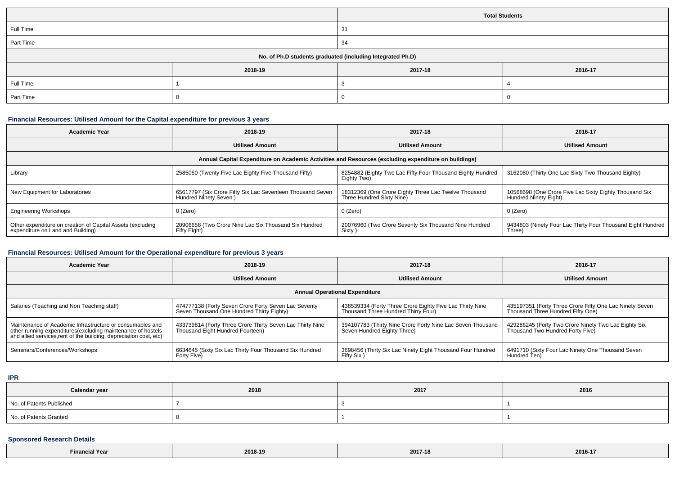|                                                            |                               | <b>Total Students</b> |  |  |  |
|------------------------------------------------------------|-------------------------------|-----------------------|--|--|--|
| Full Time                                                  |                               | 31                    |  |  |  |
| Part Time                                                  |                               | 34                    |  |  |  |
| No. of Ph.D students graduated (including Integrated Ph.D) |                               |                       |  |  |  |
|                                                            | 2018-19<br>2017-18<br>2016-17 |                       |  |  |  |
| Full Time                                                  |                               |                       |  |  |  |
| Part Time                                                  |                               |                       |  |  |  |

## **Financial Resources: Utilised Amount for the Capital expenditure for previous 3 years**

| <b>Academic Year</b>                                                                                 | 2018-19                                                                             | 2017-18                                                                           | 2016-17                                                                         |  |  |  |  |  |
|------------------------------------------------------------------------------------------------------|-------------------------------------------------------------------------------------|-----------------------------------------------------------------------------------|---------------------------------------------------------------------------------|--|--|--|--|--|
|                                                                                                      | <b>Utilised Amount</b>                                                              | <b>Utilised Amount</b>                                                            | <b>Utilised Amount</b>                                                          |  |  |  |  |  |
| Annual Capital Expenditure on Academic Activities and Resources (excluding expenditure on buildings) |                                                                                     |                                                                                   |                                                                                 |  |  |  |  |  |
| Library                                                                                              | 2585050 (Twenty Five Lac Eighty Five Thousand Fifty)                                | 8254882 (Eighty Two Lac Fifty Four Thousand Eighty Hundred<br>Eighty Two)         | 3162080 (Thirty One Lac Sixty Two Thousand Eighty)                              |  |  |  |  |  |
| New Equipment for Laboratories                                                                       | 65617797 (Six Crore Fifty Six Lac Seventeen Thousand Seven<br>Hundred Ninety Seven) | 18312369 (One Crore Eighty Three Lac Twelve Thousand<br>Three Hundred Sixty Nine) | 10568698 (One Crore Five Lac Sixty Eighty Thousand Six<br>Hundred Ninety Eight) |  |  |  |  |  |
| <b>Engineering Workshops</b>                                                                         | $0$ (Zero)                                                                          | 0 (Zero)                                                                          | 0 (Zero)                                                                        |  |  |  |  |  |
| Other expenditure on creation of Capital Assets (excluding<br>expenditure on Land and Building)      | 20906658 (Two Crore Nine Lac Six Thousand Six Hundred<br>Fifty Eight)               | 20076960 (Two Crore Seventy Six Thousand Nine Hundred<br>Sixty)                   | 9434803 (Ninety Four Lac Thirty Four Thousand Eight Hundred<br>Three)           |  |  |  |  |  |

# **Financial Resources: Utilised Amount for the Operational expenditure for previous 3 years**

| <b>Academic Year</b>                                                                                                                                                                            | 2018-19                                                                                           | 2017-18                                                                                         | 2016-17                                                                                      |  |  |  |  |
|-------------------------------------------------------------------------------------------------------------------------------------------------------------------------------------------------|---------------------------------------------------------------------------------------------------|-------------------------------------------------------------------------------------------------|----------------------------------------------------------------------------------------------|--|--|--|--|
|                                                                                                                                                                                                 | <b>Utilised Amount</b>                                                                            | <b>Utilised Amount</b>                                                                          | <b>Utilised Amount</b>                                                                       |  |  |  |  |
| <b>Annual Operational Expenditure</b>                                                                                                                                                           |                                                                                                   |                                                                                                 |                                                                                              |  |  |  |  |
| Salaries (Teaching and Non Teaching staff)                                                                                                                                                      | 474777138 (Forty Seven Crore Forty Seven Lac Seventy<br>Seven Thousand One Hundred Thirty Eighty) | 438539334 (Forty Three Crore Eighty Five Lac Thirty Nine<br>Thousand Three Hundred Thirty Four) | 435197351 (Forty Three Crore Fifty One Lac Ninety Seven<br>Thousand Three Hundred Fifty One) |  |  |  |  |
| Maintenance of Academic Infrastructure or consumables and<br>other running expenditures (excluding maintenance of hostels<br>and allied services, rent of the building, depreciation cost, etc) | 433739814 (Forty Three Crore Thirty Seven Lac Thirty Nine<br>Thousand Eight Hundred Fourteen)     | 394107783 (Thirty Nine Crore Forty Nine Lac Seven Thousand<br>Seven Hundred Eighty Three)       | 429286245 (Forty Two Crore Ninety Two Lac Eighty Six<br>Thousand Two Hundred Forty Five)     |  |  |  |  |
| Seminars/Conferences/Workshops                                                                                                                                                                  | 6634645 (Sixty Six Lac Thirty Four Thousand Six Hundred<br>Forty Five)                            | 3698456 (Thirty Six Lac Ninety Eight Thousand Four Hundred<br><b>Fifty Six</b>                  | 6491710 (Sixty Four Lac Ninety One Thousand Seven<br>Hundred Ten)                            |  |  |  |  |

**IPR**

| Calendar year            | 2018 | 2017 | 2016 |
|--------------------------|------|------|------|
| No. of Patents Published |      |      |      |
| No. of Patents Granted   |      |      |      |

# **Sponsored Research Details**

| Financial Year | 2018-19 | 2017-18 | 2016-17 |
|----------------|---------|---------|---------|
|----------------|---------|---------|---------|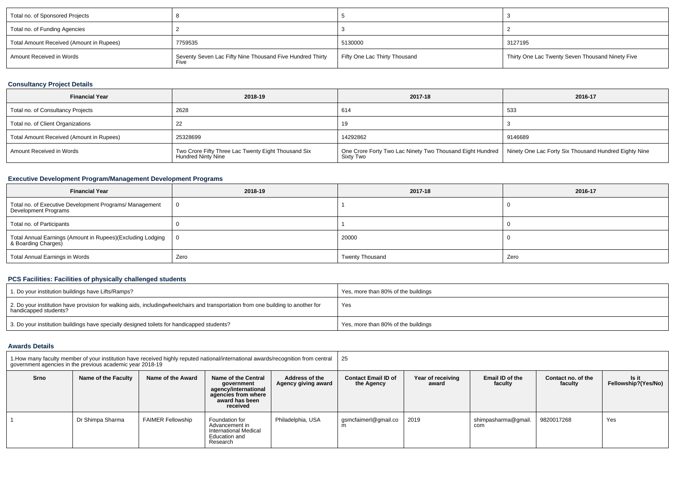| Total no. of Sponsored Projects          |                                                                   |                               |                                                  |
|------------------------------------------|-------------------------------------------------------------------|-------------------------------|--------------------------------------------------|
| Total no. of Funding Agencies            |                                                                   |                               |                                                  |
| Total Amount Received (Amount in Rupees) | 7759535                                                           | 5130000                       | 3127195                                          |
| Amount Received in Words                 | Seventy Seven Lac Fifty Nine Thousand Five Hundred Thirty<br>Five | Fifty One Lac Thirty Thousand | Thirty One Lac Twenty Seven Thousand Ninety Five |

## **Consultancy Project Details**

| <b>Financial Year</b>                    | 2018-19                                                                   | 2017-18                                                                                                                        | 2016-17 |
|------------------------------------------|---------------------------------------------------------------------------|--------------------------------------------------------------------------------------------------------------------------------|---------|
| Total no. of Consultancy Projects        | 2628                                                                      | 614                                                                                                                            | 533     |
| Total no. of Client Organizations        |                                                                           | 19                                                                                                                             |         |
| Total Amount Received (Amount in Rupees) | 25328699                                                                  | 14292862                                                                                                                       | 9146689 |
| Amount Received in Words                 | Two Crore Fifty Three Lac Twenty Eight Thousand Six<br>Hundred Ninty Nine | One Crore Forty Two Lac Ninety Two Thousand Eight Hundred   Ninety One Lac Forty Six Thousand Hundred Eighty Nine<br>Sixty Two |         |

# **Executive Development Program/Management Development Programs**

| <b>Financial Year</b>                                                             | 2018-19  | 2017-18                | 2016-17 |
|-----------------------------------------------------------------------------------|----------|------------------------|---------|
| Total no. of Executive Development Programs/ Management<br>Development Programs   | $\Omega$ |                        |         |
| Total no. of Participants                                                         |          |                        |         |
| Total Annual Earnings (Amount in Rupees)(Excluding Lodging<br>& Boarding Charges) | ΙO       | 20000                  |         |
| <b>Total Annual Earnings in Words</b>                                             | Zero     | <b>Twenty Thousand</b> | Zero    |

# **PCS Facilities: Facilities of physically challenged students**

| 1. Do your institution buildings have Lifts/Ramps?                                                                                                        | Yes, more than 80% of the buildings |
|-----------------------------------------------------------------------------------------------------------------------------------------------------------|-------------------------------------|
| 2. Do your institution have provision for walking aids, includingwheelchairs and transportation from one building to another for<br>handicapped students? | Yes                                 |
| 3. Do your institution buildings have specially designed toilets for handicapped students?                                                                | Yes, more than 80% of the buildings |

### **Awards Details**

| 1. How many faculty member of your institution have received highly reputed national/international awards/recognition from central<br>government agencies in the previous academic year 2018-19 |                     |                          |                                                                                                                | 25                                    |                                          |                            |                            |                               |                              |
|-------------------------------------------------------------------------------------------------------------------------------------------------------------------------------------------------|---------------------|--------------------------|----------------------------------------------------------------------------------------------------------------|---------------------------------------|------------------------------------------|----------------------------|----------------------------|-------------------------------|------------------------------|
| Srno                                                                                                                                                                                            | Name of the Faculty | Name of the Award        | Name of the Central<br>government<br>agency/international<br>agencies from where<br>award has been<br>received | Address of the<br>Agency giving award | <b>Contact Email ID of</b><br>the Agency | Year of receiving<br>award | Email ID of the<br>facultv | Contact no. of the<br>faculty | Is it<br>Fellowship?(Yes/No) |
|                                                                                                                                                                                                 | Dr Shimpa Sharma    | <b>FAIMER Fellowship</b> | Foundation for<br>Advancement in<br><b>International Medical</b><br>Education and<br>Research                  | Philadelphia, USA                     | qsmcfaimerl@qmail.co<br>m                | 2019                       | shimpasharma@qmail.<br>com | 9820017268                    | Yes                          |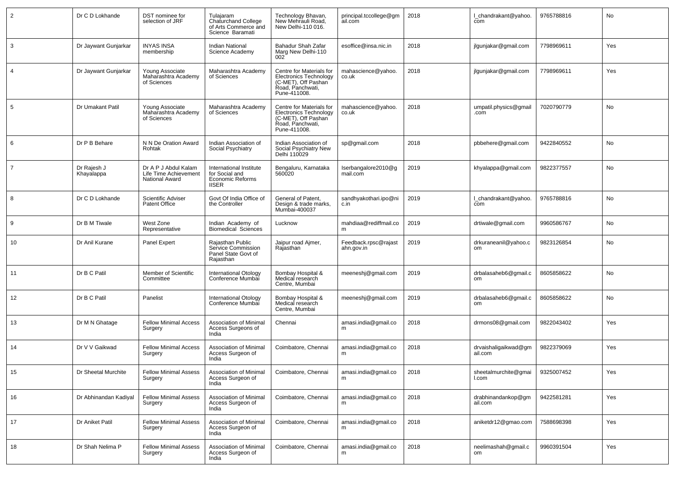| $\overline{2}$ | Dr C D Lokhande           | DST nominee for<br>selection of JRF                             | Tulajaram<br>Chaturchand College<br>of Arts Commerce and<br>Science Baramati  | Technology Bhavan,<br>New Mehrauli Road,<br>New Delhi-110 016.                                                       | principal.tccollege@gm<br>ail.com  | 2018 | I chandrakant@yahoo.<br>com     | 9765788816 | No  |
|----------------|---------------------------|-----------------------------------------------------------------|-------------------------------------------------------------------------------|----------------------------------------------------------------------------------------------------------------------|------------------------------------|------|---------------------------------|------------|-----|
| $\mathbf{3}$   | Dr Jaywant Gunjarkar      | <b>INYAS INSA</b><br>membership                                 | <b>Indian National</b><br>Science Academy                                     | Bahadur Shah Zafar<br>Marg New Delhi-110<br>002                                                                      | esoffice@insa.nic.in               | 2018 | jlgunjakar@gmail.com            | 7798969611 | Yes |
| $\overline{4}$ | Dr Jaywant Gunjarkar      | Young Associate<br>Maharashtra Academy<br>of Sciences           | Maharashtra Academy<br>of Sciences                                            | Centre for Materials for<br><b>Electronics Technology</b><br>(C-MET), Off Pashan<br>Road, Panchwati,<br>Pune-411008. | mahascience@yahoo.<br>co.uk        | 2018 | jlgunjakar@gmail.com            | 7798969611 | Yes |
| 5              | Dr Umakant Patil          | Young Associate<br>Maharashtra Academy<br>of Sciences           | Maharashtra Academy<br>of Sciences                                            | Centre for Materials for<br>Electronics Technology<br>(C-MET), Off Pashan<br>Road, Panchwati,<br>Pune-411008.        | mahascience@vahoo.<br>co.uk        | 2018 | umpatil.physics@qmail<br>.com   | 7020790779 | No  |
| 6              | Dr P B Behare             | N N De Oration Award<br>Rohtak                                  | Indian Association of<br>Social Psychiatry                                    | Indian Association of<br>Social Psychiatry New<br>Delhi 110029                                                       | sp@gmail.com                       | 2018 | pbbehere@gmail.com              | 9422840552 | No  |
| $\overline{7}$ | Dr Rajesh J<br>Khayalappa | Dr A P J Abdul Kalam<br>Life Time Achievement<br>National Award | International Institute<br>for Social and<br>Economic Reforms<br><b>IISER</b> | Bengaluru, Karnataka<br>560020                                                                                       | Iserbangalore2010@g<br>mail.com    | 2019 | khyalappa@gmail.com             | 9822377557 | No  |
| 8              | Dr C D Lokhande           | Scientific Adviser<br><b>Patent Office</b>                      | Govt Of India Office of<br>the Controller                                     | General of Patent,<br>Design & trade marks,<br>Mumbai-400037                                                         | sandhyakothari.ipo@ni<br>c.in      | 2019 | Lchandrakant@yahoo.<br>com      | 9765788816 | No  |
| 9              | Dr B M Tiwale             | West Zone<br>Representative                                     | Indian Academy of<br><b>Biomedical Sciences</b>                               | Lucknow                                                                                                              | mahdiaa@rediffmail.co<br>m         | 2019 | drtiwale@gmail.com              | 9960586767 | No  |
| 10             | Dr Anil Kurane            | Panel Expert                                                    | Rajasthan Public<br>Service Commission<br>Panel State Govt of<br>Rajasthan    | Jaipur road Ajmer,<br>Rajasthan                                                                                      | Feedback.rpsc@rajast<br>ahn.gov.in | 2019 | drkuraneanil@yahoo.c<br>om      | 9823126854 | No  |
| 11             | Dr B C Patil              | Member of Scientific<br>Committee                               | International Otology<br>Conference Mumbai                                    | Bombay Hospital &<br>Medical research<br>Centre, Mumbai                                                              | meeneshj@gmail.com                 | 2019 | drbalasaheb6@gmail.c<br>om      | 8605858622 | No  |
| 12             | Dr B C Patil              | Panelist                                                        | International Otology<br>Conference Mumbai                                    | Bombay Hospital &<br>Medical research<br>Centre, Mumbai                                                              | meeneshj@gmail.com                 | 2019 | drbalasaheb6@gmail.c<br>om      | 8605858622 | No  |
| 13             | Dr M N Ghatage            | <b>Fellow Minimal Access</b><br>Surgery                         | <b>Association of Minimal</b><br>Access Surgeons of<br>India                  | Chennai                                                                                                              | amasi.india@gmail.co<br>m          | 2018 | drmons08@gmail.com              | 9822043402 | Yes |
| 14             | Dr V V Gaikwad            | <b>Fellow Minimal Access</b><br>Surgery                         | Association of Minimal<br>Access Surgeon of<br>India                          | Coimbatore, Chennai                                                                                                  | amasi.india@gmail.co<br>m          | 2018 | drvaishaligaikwad@gm<br>ail.com | 9822379069 | Yes |
| 15             | Dr Sheetal Murchite       | <b>Fellow Minimal Assess</b><br>Surgery                         | Association of Minimal<br>Access Surgeon of<br>India                          | Coimbatore, Chennai                                                                                                  | amasi.india@gmail.co<br>m          | 2018 | sheetalmurchite@gmai<br>l.com   | 9325007452 | Yes |
| 16             | Dr Abhinandan Kadiyal     | <b>Fellow Minimal Assess</b><br>Surgery                         | Association of Minimal<br>Access Surgeon of<br>India                          | Coimbatore, Chennai                                                                                                  | amasi.india@gmail.co<br>m          | 2018 | drabhinandankop@gm<br>ail.com   | 9422581281 | Yes |
| 17             | Dr Aniket Patil           | <b>Fellow Minimal Assess</b><br>Surgery                         | Association of Minimal<br>Access Surgeon of<br>India                          | Coimbatore, Chennai                                                                                                  | amasi.india@gmail.co<br>m          | 2018 | aniketdr12@gmao.com             | 7588698398 | Yes |
| 18             | Dr Shah Nelima P          | <b>Fellow Minimal Assess</b><br>Surgery                         | Association of Minimal<br>Access Surgeon of<br>India                          | Coimbatore, Chennai                                                                                                  | amasi.india@gmail.co               | 2018 | neelimashah@gmail.c<br>om       | 9960391504 | Yes |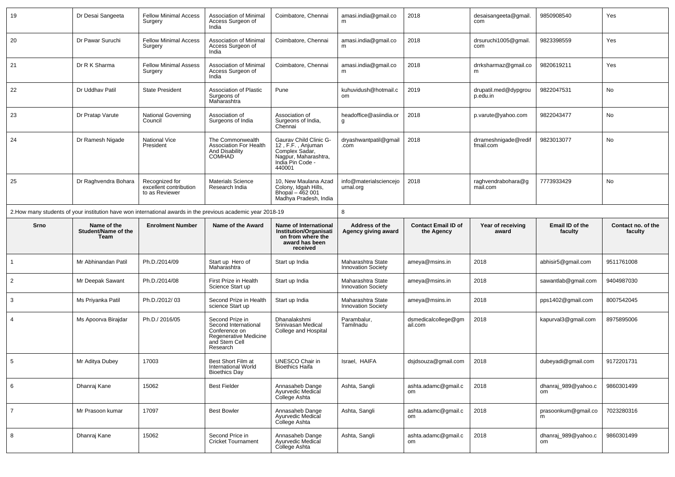| 19             | Dr Desai Sangeeta           | <b>Fellow Minimal Access</b><br>Surgery                    | Association of Minimal<br>Access Surgeon of<br>India                                                           | Coimbatore, Chennai                                                                                                 | amasi.india@gmail.co<br>m                      | 2018                           | desaisangeeta@gmail.<br>com       | 9850908540                | Yes                |  |
|----------------|-----------------------------|------------------------------------------------------------|----------------------------------------------------------------------------------------------------------------|---------------------------------------------------------------------------------------------------------------------|------------------------------------------------|--------------------------------|-----------------------------------|---------------------------|--------------------|--|
| 20             | Dr Pawar Suruchi            | <b>Fellow Minimal Access</b><br>Surgery                    | <b>Association of Minimal</b><br>Access Surgeon of<br>India                                                    | Coimbatore, Chennai                                                                                                 | amasi.india@gmail.co<br>m                      | 2018                           | drsuruchi1005@gmail.<br>com       | 9823398559                | Yes                |  |
| 21             | Dr R K Sharma               | <b>Fellow Minimal Assess</b><br>Surgery                    | <b>Association of Minimal</b><br>Access Surgeon of<br>India                                                    | Coimbatore, Chennai                                                                                                 | amasi.india@gmail.co<br>m                      | 2018                           | drrksharmaz@gmail.co<br>m         | 9820619211                | Yes                |  |
| 22             | Dr Uddhav Patil             | <b>State President</b>                                     | Association of Plastic<br>Surgeons of<br>Maharashtra                                                           | Pune                                                                                                                | kuhuvidush@hotmail.c<br>om                     | 2019                           | drupatil.med@dypgrou<br>p.edu.in  | 9822047531                | No                 |  |
| 23             | Dr Pratap Varute            | National Governing<br>Council                              | Association of<br>Surgeons of India                                                                            | Association of<br>Surgeons of India,<br>Chennai                                                                     | headoffice@asiindia.or<br>g                    | 2018                           | p.varute@yahoo.com                | 9822043477                | No                 |  |
| 24             | Dr Ramesh Nigade            | <b>National Vice</b><br>President                          | The Commonwealth<br><b>Association For Health</b><br>And Disability<br><b>COMHAD</b>                           | Gaurav Child Clinic G-<br>12, F.F., Anjuman<br>Complex Sadar,<br>Nagpur, Maharashtra,<br>India Pin Code -<br>440001 | dryashwantpatil@gmail<br>.com                  | 2018                           | drrameshnigade@redif<br>fmail.com | 9823013077                | No                 |  |
| 25             | Dr Raghvendra Bohara        | Recognized for<br>excellent contribution<br>to as Reviewer | <b>Materials Science</b><br>Research India                                                                     | 10, New Maulana Azad<br>Colony, Idgah Hills,<br>Bhopal - 462 001<br>Madhya Pradesh, India                           | info@materialsciencejo<br>urnal.org            | 2018                           | raghvendrabohara@g<br>mail.com    | 7773933429                | No                 |  |
|                |                             |                                                            | 2. How many students of your institution have won international awards in the previous academic year 2018-19   |                                                                                                                     | 8                                              |                                |                                   |                           |                    |  |
| Srno           | Name of the                 | <b>Enrolment Number</b>                                    | Name of the Award                                                                                              | Name of International                                                                                               | Address of the                                 | <b>Contact Email ID of</b>     | Year of receiving                 | Email ID of the           | Contact no. of the |  |
|                | Student/Name of the<br>Team |                                                            |                                                                                                                | <b>Institution/Organisati</b><br>on from where the<br>award has been<br>received                                    | Agency giving award                            | the Agency                     | award                             | faculty                   | faculty            |  |
| $\overline{1}$ | Mr Abhinandan Patil         | Ph.D./2014/09                                              | Start up Hero of<br>Maharashtra                                                                                | Start up India                                                                                                      | Maharashtra State<br><b>Innovation Society</b> | ameya@msins.in                 | 2018                              | abhisir5@gmail.com        | 9511761008         |  |
| $\overline{2}$ | Mr Deepak Sawant            | Ph.D./2014/08                                              | First Prize in Health<br>Science Start up                                                                      | Start up India                                                                                                      | Maharashtra State<br><b>Innovation Society</b> | ameya@msins.in                 | 2018                              | sawantlab@gmail.com       | 9404987030         |  |
| 3              | Ms Priyanka Patil           | Ph.D./2012/03                                              | Second Prize in Health<br>science Start up                                                                     | Start up India                                                                                                      | Maharashtra State<br><b>Innovation Society</b> | ameya@msins.in                 | 2018                              | pps1402@gmail.com         | 8007542045         |  |
| $\overline{4}$ | Ms Apoorva Birajdar         | Ph.D./2016/05                                              | Second Prize in<br>Second International<br>Conference on<br>Regenerative Medicine<br>and Stem Cell<br>Research | Dhanalakshmi<br>Srinivasan Medical<br>College and Hospital                                                          | Parambalur,<br>Tamilnadu                       | dsmedicalcollege@gm<br>ail.com | 2018                              | kapurval3@gmail.com       | 8975895006         |  |
| 5              | Mr Aditya Dubey             | 17003                                                      | Best Short Film at<br>International World<br><b>Bioethics Day</b>                                              | UNESCO Chair in<br><b>Bioethics Haifa</b>                                                                           | Israel, HAIFA                                  | dsjdsouza@gmail.com            | 2018                              | dubeyadi@gmail.com        | 9172201731         |  |
| 6              | Dhanraj Kane                | 15062                                                      | <b>Best Fielder</b>                                                                                            | Annasaheb Dange<br>Ayurvedic Medical<br>College Ashta                                                               | Ashta, Sangli                                  | ashta.adamc@gmail.c<br>om      | 2018                              | dhanraj_989@yahoo.c<br>om | 9860301499         |  |
| $\overline{7}$ | Mr Prasoon kumar            | 17097                                                      | <b>Best Bowler</b>                                                                                             | Annasaheb Dange<br>Ayurvedic Medical<br>College Ashta                                                               | Ashta, Sangli                                  | ashta.adamc@gmail.c<br>om      | 2018                              | prasoonkum@gmail.co<br>m  | 7023280316         |  |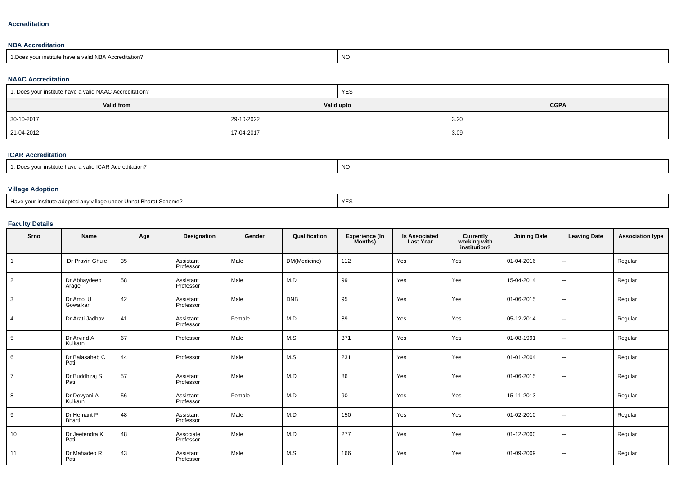#### **Accreditation**

## **NBA Accreditation**

| 1. Does vour institute have a valid NBA Accreditation? | <b>NC</b> |
|--------------------------------------------------------|-----------|

## **NAAC Accreditation**

| 1 1. Does your institute have a valid NAAC Accreditation? | <b>YES</b> |             |  |  |  |
|-----------------------------------------------------------|------------|-------------|--|--|--|
| <b>Valid from</b>                                         | Valid upto | <b>CGPA</b> |  |  |  |
| 30-10-2017                                                | 29-10-2022 | 3.20        |  |  |  |
| 21-04-2012                                                | 17-04-2017 | 3.09        |  |  |  |

## **ICAR Accreditation**

| oes vour institute have a valid ICAR Accreditation? | NO |
|-----------------------------------------------------|----|
|-----------------------------------------------------|----|

## **Village Adoption**

|--|

# **Faculty Details**

| Srno           | Name                     | Age | Designation            | Gender | Qualification | <b>Experience (In</b><br>Months) | <b>Is Associated</b><br><b>Last Year</b> | Currently<br>working with<br>institution? | <b>Joining Date</b> | <b>Leaving Date</b>      | <b>Association type</b> |
|----------------|--------------------------|-----|------------------------|--------|---------------|----------------------------------|------------------------------------------|-------------------------------------------|---------------------|--------------------------|-------------------------|
|                | Dr Pravin Ghule          | 35  | Assistant<br>Professor | Male   | DM(Medicine)  | 112                              | Yes                                      | Yes                                       | 01-04-2016          | $\overline{\phantom{a}}$ | Regular                 |
| $\overline{2}$ | Dr Abhaydeep<br>Arage    | 58  | Assistant<br>Professor | Male   | M.D           | 99                               | Yes                                      | Yes                                       | 15-04-2014          | $\sim$                   | Regular                 |
| 3              | Dr Amol U<br>Gowaikar    | 42  | Assistant<br>Professor | Male   | <b>DNB</b>    | 95                               | Yes                                      | Yes                                       | 01-06-2015          | $\sim$                   | Regular                 |
| $\overline{4}$ | Dr Arati Jadhav          | 41  | Assistant<br>Professor | Female | M.D           | 89                               | Yes                                      | Yes                                       | 05-12-2014          | $\sim$                   | Regular                 |
| 5              | Dr Arvind A<br>Kulkarni  | 67  | Professor              | Male   | M.S           | 371                              | Yes                                      | Yes                                       | 01-08-1991          | $\sim$                   | Regular                 |
| 6              | Dr Balasaheb C<br>Patil  | 44  | Professor              | Male   | M.S           | 231                              | Yes                                      | Yes                                       | 01-01-2004          | $\sim$                   | Regular                 |
| $\overline{7}$ | Dr Buddhiraj S<br>Patil  | 57  | Assistant<br>Professor | Male   | M.D           | 86                               | Yes                                      | Yes                                       | 01-06-2015          | $\sim$                   | Regular                 |
| 8              | Dr Devyani A<br>Kulkarni | 56  | Assistant<br>Professor | Female | M.D           | 90                               | Yes                                      | Yes                                       | 15-11-2013          | $\overline{a}$           | Regular                 |
| 9              | Dr Hemant P<br>Bharti    | 48  | Assistant<br>Professor | Male   | M.D           | 150                              | Yes                                      | Yes                                       | 01-02-2010          | $\overline{\phantom{a}}$ | Regular                 |
| 10             | Dr Jeetendra K<br>Patil  | 48  | Associate<br>Professor | Male   | M.D           | 277                              | Yes                                      | Yes                                       | 01-12-2000          | $\overline{a}$           | Regular                 |
| 11             | Dr Mahadeo R<br>Patil    | 43  | Assistant<br>Professor | Male   | M.S           | 166                              | Yes                                      | Yes                                       | 01-09-2009          | $\overline{\phantom{a}}$ | Regular                 |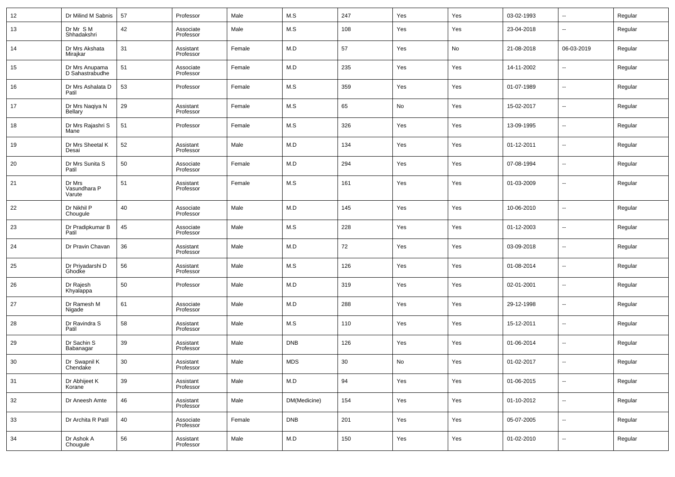| 12 | Dr Milind M Sabnis                | 57 | Professor              | Male   | M.S          | 247 | Yes | Yes | 03-02-1993 | $\overline{\phantom{a}}$ | Regular |
|----|-----------------------------------|----|------------------------|--------|--------------|-----|-----|-----|------------|--------------------------|---------|
| 13 | Dr Mr S M<br>Shhadakshri          | 42 | Associate<br>Professor | Male   | M.S          | 108 | Yes | Yes | 23-04-2018 | $\overline{\phantom{a}}$ | Regular |
| 14 | Dr Mrs Akshata<br>Mirajkar        | 31 | Assistant<br>Professor | Female | M.D          | 57  | Yes | No  | 21-08-2018 | 06-03-2019               | Regular |
| 15 | Dr Mrs Anupama<br>D Sahastrabudhe | 51 | Associate<br>Professor | Female | M.D          | 235 | Yes | Yes | 14-11-2002 | $\overline{\phantom{a}}$ | Regular |
| 16 | Dr Mrs Ashalata D<br>Patil        | 53 | Professor              | Female | M.S          | 359 | Yes | Yes | 01-07-1989 | --                       | Regular |
| 17 | Dr Mrs Naqiya N<br><b>Bellary</b> | 29 | Assistant<br>Professor | Female | M.S          | 65  | No  | Yes | 15-02-2017 | $\overline{\phantom{a}}$ | Regular |
| 18 | Dr Mrs Rajashri S<br>Mane         | 51 | Professor              | Female | M.S          | 326 | Yes | Yes | 13-09-1995 | $\overline{\phantom{a}}$ | Regular |
| 19 | Dr Mrs Sheetal K<br>Desai         | 52 | Assistant<br>Professor | Male   | M.D          | 134 | Yes | Yes | 01-12-2011 | --                       | Regular |
| 20 | Dr Mrs Sunita S<br>Patil          | 50 | Associate<br>Professor | Female | M.D          | 294 | Yes | Yes | 07-08-1994 | $\overline{\phantom{a}}$ | Regular |
| 21 | Dr Mrs<br>Vasundhara P<br>Varute  | 51 | Assistant<br>Professor | Female | M.S          | 161 | Yes | Yes | 01-03-2009 | $\overline{\phantom{a}}$ | Regular |
| 22 | Dr Nikhil P<br>Chougule           | 40 | Associate<br>Professor | Male   | M.D          | 145 | Yes | Yes | 10-06-2010 | $\overline{\phantom{a}}$ | Regular |
| 23 | Dr Pradipkumar B<br>Patil         | 45 | Associate<br>Professor | Male   | M.S          | 228 | Yes | Yes | 01-12-2003 | $\overline{\phantom{a}}$ | Regular |
| 24 | Dr Pravin Chavan                  | 36 | Assistant<br>Professor | Male   | M.D          | 72  | Yes | Yes | 03-09-2018 | $\overline{\phantom{a}}$ | Regular |
| 25 | Dr Priyadarshi D<br>Ghodke        | 56 | Assistant<br>Professor | Male   | M.S          | 126 | Yes | Yes | 01-08-2014 | $\overline{\phantom{a}}$ | Regular |
| 26 | Dr Rajesh<br>Khyalappa            | 50 | Professor              | Male   | M.D          | 319 | Yes | Yes | 02-01-2001 | $\overline{\phantom{a}}$ | Regular |
| 27 | Dr Ramesh M<br>Nigade             | 61 | Associate<br>Professor | Male   | M.D          | 288 | Yes | Yes | 29-12-1998 | $\overline{\phantom{a}}$ | Regular |
| 28 | Dr Ravindra S<br>Patil            | 58 | Assistant<br>Professor | Male   | M.S          | 110 | Yes | Yes | 15-12-2011 | $\overline{\phantom{a}}$ | Regular |
| 29 | Dr Sachin S<br>Babanagar          | 39 | Assistant<br>Professor | Male   | <b>DNB</b>   | 126 | Yes | Yes | 01-06-2014 | $\overline{\phantom{a}}$ | Regular |
| 30 | Dr Swapnil K<br>Chendake          | 30 | Assistant<br>Professor | Male   | <b>MDS</b>   | 30  | No  | Yes | 01-02-2017 | $\overline{\phantom{a}}$ | Regular |
| 31 | Dr Abhijeet K<br>Korane           | 39 | Assistant<br>Professor | Male   | M.D          | 94  | Yes | Yes | 01-06-2015 | ۰.                       | Regular |
| 32 | Dr Aneesh Amte                    | 46 | Assistant<br>Professor | Male   | DM(Medicine) | 154 | Yes | Yes | 01-10-2012 | $\overline{\phantom{a}}$ | Regular |
| 33 | Dr Archita R Patil                | 40 | Associate<br>Professor | Female | <b>DNB</b>   | 201 | Yes | Yes | 05-07-2005 | ۰.                       | Regular |
| 34 | Dr Ashok A<br>Chougule            | 56 | Assistant<br>Professor | Male   | ${\sf M.D}$  | 150 | Yes | Yes | 01-02-2010 | ۰.                       | Regular |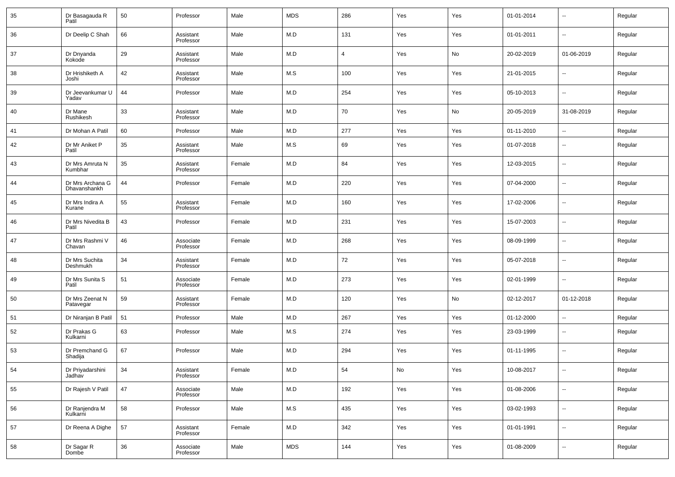| 35 | Dr Basagauda R<br>Patil          | 50 | Professor              | Male   | <b>MDS</b> | 286            | Yes | Yes | 01-01-2014 | $\overline{\phantom{a}}$ | Regular |
|----|----------------------------------|----|------------------------|--------|------------|----------------|-----|-----|------------|--------------------------|---------|
| 36 | Dr Deelip C Shah                 | 66 | Assistant<br>Professor | Male   | M.D        | 131            | Yes | Yes | 01-01-2011 | $\overline{\phantom{a}}$ | Regular |
| 37 | Dr Dnyanda<br>Kokode             | 29 | Assistant<br>Professor | Male   | M.D        | $\overline{4}$ | Yes | No  | 20-02-2019 | 01-06-2019               | Regular |
| 38 | Dr Hrishiketh A<br>Joshi         | 42 | Assistant<br>Professor | Male   | M.S        | 100            | Yes | Yes | 21-01-2015 | $\overline{\phantom{a}}$ | Regular |
| 39 | Dr Jeevankumar U<br>Yadav        | 44 | Professor              | Male   | M.D        | 254            | Yes | Yes | 05-10-2013 | $\overline{\phantom{a}}$ | Regular |
| 40 | Dr Mane<br>Rushikesh             | 33 | Assistant<br>Professor | Male   | M.D        | 70             | Yes | No  | 20-05-2019 | 31-08-2019               | Regular |
| 41 | Dr Mohan A Patil                 | 60 | Professor              | Male   | M.D        | 277            | Yes | Yes | 01-11-2010 | ۰.                       | Regular |
| 42 | Dr Mr Aniket P<br>Patil          | 35 | Assistant<br>Professor | Male   | M.S        | 69             | Yes | Yes | 01-07-2018 | $\overline{\phantom{a}}$ | Regular |
| 43 | Dr Mrs Amruta N<br>Kumbhar       | 35 | Assistant<br>Professor | Female | M.D        | 84             | Yes | Yes | 12-03-2015 | $\overline{\phantom{a}}$ | Regular |
| 44 | Dr Mrs Archana G<br>Dhavanshankh | 44 | Professor              | Female | M.D        | 220            | Yes | Yes | 07-04-2000 | $\overline{\phantom{a}}$ | Regular |
| 45 | Dr Mrs Indira A<br>Kurane        | 55 | Assistant<br>Professor | Female | M.D        | 160            | Yes | Yes | 17-02-2006 | $\overline{\phantom{a}}$ | Regular |
| 46 | Dr Mrs Nivedita B<br>Patil       | 43 | Professor              | Female | M.D        | 231            | Yes | Yes | 15-07-2003 | $\overline{\phantom{a}}$ | Regular |
| 47 | Dr Mrs Rashmi V<br>Chavan        | 46 | Associate<br>Professor | Female | M.D        | 268            | Yes | Yes | 08-09-1999 | $\overline{\phantom{a}}$ | Regular |
| 48 | Dr Mrs Suchita<br>Deshmukh       | 34 | Assistant<br>Professor | Female | M.D        | 72             | Yes | Yes | 05-07-2018 | $\overline{\phantom{a}}$ | Regular |
| 49 | Dr Mrs Sunita S<br>Patil         | 51 | Associate<br>Professor | Female | M.D        | 273            | Yes | Yes | 02-01-1999 | $\overline{\phantom{a}}$ | Regular |
| 50 | Dr Mrs Zeenat N<br>Patavegar     | 59 | Assistant<br>Professor | Female | M.D        | 120            | Yes | No  | 02-12-2017 | 01-12-2018               | Regular |
| 51 | Dr Niranjan B Patil              | 51 | Professor              | Male   | M.D        | 267            | Yes | Yes | 01-12-2000 | $\overline{\phantom{a}}$ | Regular |
| 52 | Dr Prakas G<br>Kulkarni          | 63 | Professor              | Male   | M.S        | 274            | Yes | Yes | 23-03-1999 | $\overline{\phantom{a}}$ | Regular |
| 53 | Dr Premchand G<br>Shadija        | 67 | Professor              | Male   | M.D        | 294            | Yes | Yes | 01-11-1995 | $\ddotsc$                | Regular |
| 54 | Dr Priyadarshini<br>Jadhav       | 34 | Assistant<br>Professor | Female | M.D        | 54             | No  | Yes | 10-08-2017 | $\overline{\phantom{a}}$ | Regular |
| 55 | Dr Rajesh V Patil                | 47 | Associate<br>Professor | Male   | M.D        | 192            | Yes | Yes | 01-08-2006 | $\sim$                   | Regular |
| 56 | Dr Ranjendra M<br>Kulkarni       | 58 | Professor              | Male   | M.S        | 435            | Yes | Yes | 03-02-1993 | $\sim$                   | Regular |
| 57 | Dr Reena A Dighe                 | 57 | Assistant<br>Professor | Female | M.D        | 342            | Yes | Yes | 01-01-1991 | $\sim$                   | Regular |
| 58 | Dr Sagar R<br>Dombe              | 36 | Associate<br>Professor | Male   | <b>MDS</b> | 144            | Yes | Yes | 01-08-2009 | $\sim$                   | Regular |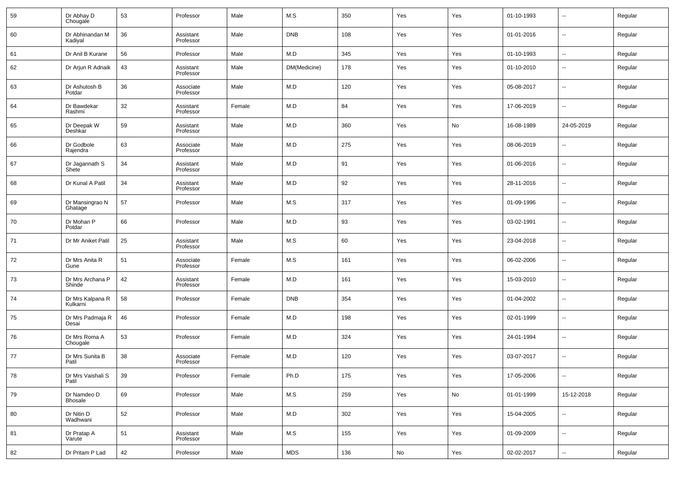| 59 | Dr Abhay D<br>Chougale        | 53 | Professor              | Male   | M.S          | 350 | Yes | Yes | 01-10-1993 | $\overline{\phantom{a}}$ | Regular |
|----|-------------------------------|----|------------------------|--------|--------------|-----|-----|-----|------------|--------------------------|---------|
| 60 | Dr Abhinandan M<br>Kadiyal    | 36 | Assistant<br>Professor | Male   | <b>DNB</b>   | 108 | Yes | Yes | 01-01-2016 | $\overline{\phantom{a}}$ | Regular |
| 61 | Dr Anil B Kurane              | 56 | Professor              | Male   | M.D          | 345 | Yes | Yes | 01-10-1993 | $\overline{\phantom{a}}$ | Regular |
| 62 | Dr Arjun R Adnaik             | 43 | Assistant<br>Professor | Male   | DM(Medicine) | 178 | Yes | Yes | 01-10-2010 | $\overline{\phantom{a}}$ | Regular |
| 63 | Dr Ashutosh B<br>Potdar       | 36 | Associate<br>Professor | Male   | M.D          | 120 | Yes | Yes | 05-08-2017 | $\overline{\phantom{a}}$ | Regular |
| 64 | Dr Bawdekar<br>Rashmi         | 32 | Assistant<br>Professor | Female | M.D          | 84  | Yes | Yes | 17-06-2019 | $\overline{\phantom{a}}$ | Regular |
| 65 | Dr Deepak W<br>Deshkar        | 59 | Assistant<br>Professor | Male   | M.D          | 360 | Yes | No  | 16-08-1989 | 24-05-2019               | Regular |
| 66 | Dr Godbole<br>Rajendra        | 63 | Associate<br>Professor | Male   | M.D          | 275 | Yes | Yes | 08-06-2019 | --                       | Regular |
| 67 | Dr Jagannath S<br>Shete       | 34 | Assistant<br>Professor | Male   | M.D          | 91  | Yes | Yes | 01-06-2016 | $\overline{\phantom{a}}$ | Regular |
| 68 | Dr Kunal A Patil              | 34 | Assistant<br>Professor | Male   | M.D          | 92  | Yes | Yes | 28-11-2016 | $\overline{\phantom{a}}$ | Regular |
| 69 | Dr Mansingrao N<br>Ghatage    | 57 | Professor              | Male   | M.S          | 317 | Yes | Yes | 01-09-1996 | $\overline{\phantom{a}}$ | Regular |
| 70 | Dr Mohan P<br>Potdar          | 66 | Professor              | Male   | M.D          | 93  | Yes | Yes | 03-02-1991 | $\overline{\phantom{a}}$ | Regular |
| 71 | Dr Mr Aniket Patil            | 25 | Assistant<br>Professor | Male   | M.S          | 60  | Yes | Yes | 23-04-2018 | $\overline{\phantom{a}}$ | Regular |
| 72 | Dr Mrs Anita R<br>Gune        | 51 | Associate<br>Professor | Female | M.S          | 161 | Yes | Yes | 06-02-2006 | $\overline{\phantom{a}}$ | Regular |
| 73 | Dr Mrs Archana P<br>Shinde    | 42 | Assistant<br>Professor | Female | M.D          | 161 | Yes | Yes | 15-03-2010 | $\overline{\phantom{a}}$ | Regular |
| 74 | Dr Mrs Kalpana R<br>Kulkarni  | 58 | Professor              | Female | <b>DNB</b>   | 354 | Yes | Yes | 01-04-2002 | $\overline{\phantom{a}}$ | Regular |
| 75 | Dr Mrs Padmaja R<br>Desai     | 46 | Professor              | Female | M.D          | 198 | Yes | Yes | 02-01-1999 | $\overline{\phantom{a}}$ | Regular |
| 76 | Dr Mrs Roma A<br>Chougale     | 53 | Professor              | Female | M.D          | 324 | Yes | Yes | 24-01-1994 | $\overline{\phantom{a}}$ | Regular |
| 77 | Dr Mrs Sunita B<br>Patil      | 38 | Associate<br>Professor | Female | M.D          | 120 | Yes | Yes | 03-07-2017 | $\overline{\phantom{a}}$ | Regular |
| 78 | Dr Mrs Vaishali S<br>Patil    | 39 | Professor              | Female | Ph.D         | 175 | Yes | Yes | 17-05-2006 | ۰.                       | Regular |
| 79 | Dr Namdeo D<br><b>Bhosale</b> | 69 | Professor              | Male   | M.S          | 259 | Yes | No  | 01-01-1999 | 15-12-2018               | Regular |
| 80 | Dr Nitin D<br>Wadhwani        | 52 | Professor              | Male   | M.D          | 302 | Yes | Yes | 15-04-2005 | ۰.                       | Regular |
| 81 | Dr Pratap A<br>Varute         | 51 | Assistant<br>Professor | Male   | M.S          | 155 | Yes | Yes | 01-09-2009 | ۰.                       | Regular |
| 82 | Dr Pritam P Lad               | 42 | Professor              | Male   | MDS          | 136 | No  | Yes | 02-02-2017 | ۰.                       | Regular |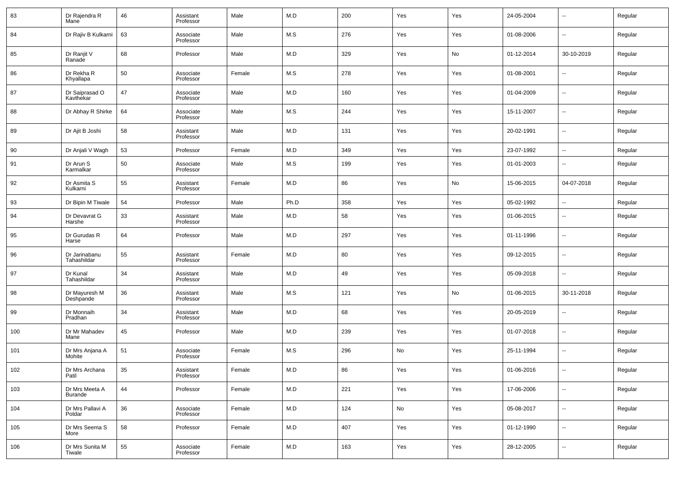| 83  | Dr Rajendra R<br>Mane        | 46 | Assistant<br>Professor | Male   | M.D  | 200 | Yes | Yes | 24-05-2004 | $\overline{\phantom{a}}$ | Regular |
|-----|------------------------------|----|------------------------|--------|------|-----|-----|-----|------------|--------------------------|---------|
| 84  | Dr Rajiv B Kulkarni          | 63 | Associate<br>Professor | Male   | M.S  | 276 | Yes | Yes | 01-08-2006 | $\overline{\phantom{a}}$ | Regular |
| 85  | Dr Ranjit V<br>Ranade        | 68 | Professor              | Male   | M.D  | 329 | Yes | No  | 01-12-2014 | 30-10-2019               | Regular |
| 86  | Dr Rekha R<br>Khyallapa      | 50 | Associate<br>Professor | Female | M.S  | 278 | Yes | Yes | 01-08-2001 | $\overline{\phantom{a}}$ | Regular |
| 87  | Dr Saiprasad O<br>Kavthekar  | 47 | Associate<br>Professor | Male   | M.D  | 160 | Yes | Yes | 01-04-2009 | $\overline{\phantom{a}}$ | Regular |
| 88  | Dr Abhay R Shirke            | 64 | Associate<br>Professor | Male   | M.S  | 244 | Yes | Yes | 15-11-2007 | $\overline{\phantom{a}}$ | Regular |
| 89  | Dr Ajit B Joshi              | 58 | Assistant<br>Professor | Male   | M.D  | 131 | Yes | Yes | 20-02-1991 | $\overline{\phantom{a}}$ | Regular |
| 90  | Dr Anjali V Wagh             | 53 | Professor              | Female | M.D  | 349 | Yes | Yes | 23-07-1992 | $\overline{\phantom{a}}$ | Regular |
| 91  | Dr Arun S<br>Karmalkar       | 50 | Associate<br>Professor | Male   | M.S  | 199 | Yes | Yes | 01-01-2003 | $\overline{\phantom{a}}$ | Regular |
| 92  | Dr Asmita S<br>Kulkarni      | 55 | Assistant<br>Professor | Female | M.D  | 86  | Yes | No  | 15-06-2015 | 04-07-2018               | Regular |
| 93  | Dr Bipin M Tiwale            | 54 | Professor              | Male   | Ph.D | 358 | Yes | Yes | 05-02-1992 | $\overline{\phantom{a}}$ | Regular |
| 94  | Dr Devavrat G<br>Harshe      | 33 | Assistant<br>Professor | Male   | M.D  | 58  | Yes | Yes | 01-06-2015 | $\overline{\phantom{a}}$ | Regular |
| 95  | Dr Gurudas R<br>Harse        | 64 | Professor              | Male   | M.D  | 297 | Yes | Yes | 01-11-1996 | $\overline{\phantom{a}}$ | Regular |
| 96  | Dr Jarinabanu<br>Tahashildar | 55 | Assistant<br>Professor | Female | M.D  | 80  | Yes | Yes | 09-12-2015 | $\overline{\phantom{a}}$ | Regular |
| 97  | Dr Kunal<br>Tahashildar      | 34 | Assistant<br>Professor | Male   | M.D  | 49  | Yes | Yes | 05-09-2018 | $\sim$                   | Regular |
| 98  | Dr Mayuresh M<br>Deshpande   | 36 | Assistant<br>Professor | Male   | M.S  | 121 | Yes | No  | 01-06-2015 | 30-11-2018               | Regular |
| 99  | Dr Monnaih<br>Pradhan        | 34 | Assistant<br>Professor | Male   | M.D  | 68  | Yes | Yes | 20-05-2019 | --                       | Regular |
| 100 | Dr Mr Mahadev<br>Mane        | 45 | Professor              | Male   | M.D  | 239 | Yes | Yes | 01-07-2018 | $\sim$                   | Regular |
| 101 | Dr Mrs Anjana A<br>Mohite    | 51 | Associate<br>Professor | Female | M.S  | 296 | No  | Yes | 25-11-1994 | $\overline{\phantom{a}}$ | Regular |
| 102 | Dr Mrs Archana<br>Patil      | 35 | Assistant<br>Professor | Female | M.D  | 86  | Yes | Yes | 01-06-2016 | $\overline{\phantom{a}}$ | Regular |
| 103 | Dr Mrs Meeta A<br>Burande    | 44 | Professor              | Female | M.D  | 221 | Yes | Yes | 17-06-2006 | $\overline{\phantom{a}}$ | Regular |
| 104 | Dr Mrs Pallavi A<br>Potdar   | 36 | Associate<br>Professor | Female | M.D  | 124 | No  | Yes | 05-08-2017 | $\overline{\phantom{a}}$ | Regular |
| 105 | Dr Mrs Seema S<br>More       | 58 | Professor              | Female | M.D  | 407 | Yes | Yes | 01-12-1990 | $\overline{\phantom{a}}$ | Regular |
| 106 | Dr Mrs Sunita M<br>Tiwale    | 55 | Associate<br>Professor | Female | M.D  | 163 | Yes | Yes | 28-12-2005 | ۰.                       | Regular |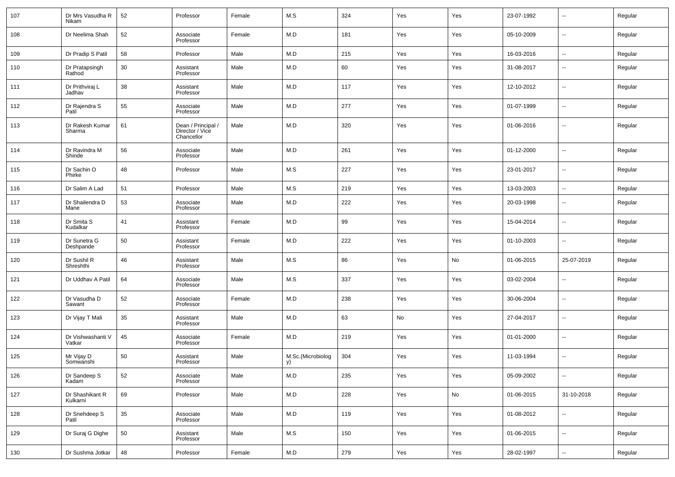| 107 | Dr Mrs Vasudha R<br>Nikam   | 52 | Professor                                           | Female | M.S                     | 324 | Yes | Yes | 23-07-1992 | --         | Regular |
|-----|-----------------------------|----|-----------------------------------------------------|--------|-------------------------|-----|-----|-----|------------|------------|---------|
| 108 | Dr Neelima Shah             | 52 | Associate<br>Professor                              | Female | M.D                     | 181 | Yes | Yes | 05-10-2009 | --         | Regular |
| 109 | Dr Pradip S Patil           | 58 | Professor                                           | Male   | M.D                     | 215 | Yes | Yes | 16-03-2016 | Ξ.         | Regular |
| 110 | Dr Pratapsingh<br>Rathod    | 30 | Assistant<br>Professor                              | Male   | M.D                     | 60  | Yes | Yes | 31-08-2017 | --         | Regular |
| 111 | Dr Prithviraj L<br>Jadhav   | 38 | Assistant<br>Professor                              | Male   | M.D                     | 117 | Yes | Yes | 12-10-2012 | --         | Regular |
| 112 | Dr Rajendra S<br>Patil      | 55 | Associate<br>Professor                              | Male   | M.D                     | 277 | Yes | Yes | 01-07-1999 | --         | Regular |
| 113 | Dr Rakesh Kumar<br>Sharma   | 61 | Dean / Principal /<br>Director / Vice<br>Chancellor | Male   | M.D                     | 320 | Yes | Yes | 01-06-2016 | --         | Regular |
| 114 | Dr Ravindra M<br>Shinde     | 56 | Associate<br>Professor                              | Male   | M.D                     | 261 | Yes | Yes | 01-12-2000 | --         | Regular |
| 115 | Dr Sachin O<br>Phirke       | 48 | Professor                                           | Male   | M.S                     | 227 | Yes | Yes | 23-01-2017 | --         | Regular |
| 116 | Dr Salim A Lad              | 51 | Professor                                           | Male   | M.S                     | 219 | Yes | Yes | 13-03-2003 | Ξ.         | Regular |
| 117 | Dr Shailendra D<br>Mane     | 53 | Associate<br>Professor                              | Male   | M.D                     | 222 | Yes | Yes | 20-03-1998 | --         | Regular |
| 118 | Dr Smita S<br>Kudalkar      | 41 | Assistant<br>Professor                              | Female | M.D                     | 99  | Yes | Yes | 15-04-2014 | --         | Regular |
| 119 | Dr Sunetra G<br>Deshpande   | 50 | Assistant<br>Professor                              | Female | M.D                     | 222 | Yes | Yes | 01-10-2003 | --         | Regular |
| 120 | Dr Sushil R<br>Shreshthi    | 46 | Assistant<br>Professor                              | Male   | M.S                     | 86  | Yes | No  | 01-06-2015 | 25-07-2019 | Regular |
| 121 | Dr Uddhav A Patil           | 64 | Associate<br>Professor                              | Male   | M.S                     | 337 | Yes | Yes | 03-02-2004 | --         | Regular |
| 122 | Dr Vasudha D<br>Sawant      | 52 | Associate<br>Professor                              | Female | M.D                     | 238 | Yes | Yes | 30-06-2004 | --         | Regular |
| 123 | Dr Vijay T Mali             | 35 | Assistant<br>Professor                              | Male   | M.D                     | 63  | No  | Yes | 27-04-2017 | --         | Regular |
| 124 | Dr Vishwashanti V<br>Vatkar | 45 | Associate<br>Professor                              | Female | M.D                     | 219 | Yes | Yes | 01-01-2000 | --         | Regular |
| 125 | Mr Vijay D<br>Somwanshi     | 50 | Assistant<br>Professor                              | Male   | M.Sc.(Microbiolog<br>y) | 304 | Yes | Yes | 11-03-1994 | --         | Regular |
| 126 | Dr Sandeep S<br>Kadam       | 52 | Associate<br>Professor                              | Male   | M.D                     | 235 | Yes | Yes | 05-09-2002 | Ξ.         | Regular |
| 127 | Dr Shashikant R<br>Kulkarni | 69 | Professor                                           | Male   | M.D                     | 228 | Yes | No  | 01-06-2015 | 31-10-2018 | Regular |
| 128 | Dr Snehdeep S<br>Patil      | 35 | Associate<br>Professor                              | Male   | M.D                     | 119 | Yes | Yes | 01-08-2012 | Ξ.         | Regular |
| 129 | Dr Suraj G Dighe            | 50 | Assistant<br>Professor                              | Male   | M.S                     | 150 | Yes | Yes | 01-06-2015 | −−         | Regular |
| 130 | Dr Sushma Jotkar            | 48 | Professor                                           | Female | M.D                     | 279 | Yes | Yes | 28-02-1997 | ۰.         | Regular |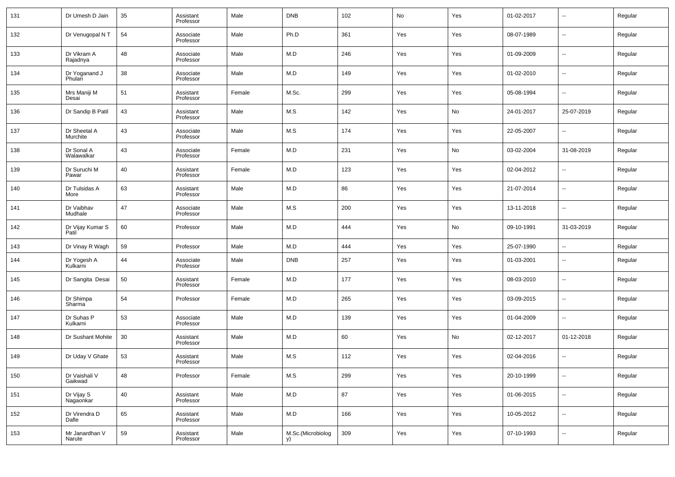| 131 | Dr Umesh D Jain                  | 35 | Assistant<br>Professor | Male   | <b>DNB</b>              | 102 | $\operatorname{\mathsf{No}}$ | Yes | 01-02-2017 | $\overline{\phantom{a}}$ | Regular |
|-----|----------------------------------|----|------------------------|--------|-------------------------|-----|------------------------------|-----|------------|--------------------------|---------|
| 132 | Dr Venugopal N T                 | 54 | Associate<br>Professor | Male   | Ph.D                    | 361 | Yes                          | Yes | 08-07-1989 | ۰.                       | Regular |
| 133 | Dr Vikram A<br>Rajadnya          | 48 | Associate<br>Professor | Male   | M.D                     | 246 | Yes                          | Yes | 01-09-2009 | $\overline{\phantom{a}}$ | Regular |
| 134 | Dr Yoganand J<br>Phulari         | 38 | Associate<br>Professor | Male   | M.D                     | 149 | Yes                          | Yes | 01-02-2010 | $\overline{\phantom{a}}$ | Regular |
| 135 | Mrs Maniji M<br>Desai            | 51 | Assistant<br>Professor | Female | M.Sc.                   | 299 | Yes                          | Yes | 05-08-1994 | ۰.                       | Regular |
| 136 | Dr Sandip B Patil                | 43 | Assistant<br>Professor | Male   | M.S                     | 142 | Yes                          | No  | 24-01-2017 | 25-07-2019               | Regular |
| 137 | Dr Sheetal A<br>Murchite         | 43 | Associate<br>Professor | Male   | M.S                     | 174 | Yes                          | Yes | 22-05-2007 | $\overline{\phantom{a}}$ | Regular |
| 138 | Dr Sonal A<br>Walawalkar         | 43 | Associate<br>Professor | Female | M.D                     | 231 | Yes                          | No  | 03-02-2004 | 31-08-2019               | Regular |
| 139 | Dr Suruchi M<br>Pawar            | 40 | Assistant<br>Professor | Female | M.D                     | 123 | Yes                          | Yes | 02-04-2012 | $\overline{\phantom{a}}$ | Regular |
| 140 | Dr Tulsidas A<br>More            | 63 | Assistant<br>Professor | Male   | M.D                     | 86  | Yes                          | Yes | 21-07-2014 | $\overline{\phantom{a}}$ | Regular |
| 141 | Dr Vaibhav<br>Mudhale            | 47 | Associate<br>Professor | Male   | M.S                     | 200 | Yes                          | Yes | 13-11-2018 | $\overline{\phantom{a}}$ | Regular |
| 142 | Dr Vijay Kumar S<br>Patil        | 60 | Professor              | Male   | M.D                     | 444 | Yes                          | No  | 09-10-1991 | 31-03-2019               | Regular |
| 143 | Dr Vinay R Wagh                  | 59 | Professor              | Male   | M.D                     | 444 | Yes                          | Yes | 25-07-1990 | $\overline{\phantom{a}}$ | Regular |
| 144 | Dr Yogesh A<br>Kulkarni          | 44 | Associate<br>Professor | Male   | <b>DNB</b>              | 257 | Yes                          | Yes | 01-03-2001 | $\overline{\phantom{a}}$ | Regular |
| 145 | Dr Sangita Desai                 | 50 | Assistant<br>Professor | Female | M.D                     | 177 | Yes                          | Yes | 08-03-2010 | --                       | Regular |
| 146 | Dr Shimpa<br>Sharma <sup>1</sup> | 54 | Professor              | Female | M.D                     | 265 | Yes                          | Yes | 03-09-2015 | --                       | Regular |
| 147 | Dr Suhas P<br>Kulkarni           | 53 | Associate<br>Professor | Male   | M.D                     | 139 | Yes                          | Yes | 01-04-2009 | $\overline{\phantom{a}}$ | Regular |
| 148 | Dr Sushant Mohite                | 30 | Assistant<br>Professor | Male   | M.D                     | 60  | Yes                          | No  | 02-12-2017 | 01-12-2018               | Regular |
| 149 | Dr Uday V Ghate                  | 53 | Assistant<br>Professor | Male   | M.S                     | 112 | Yes                          | Yes | 02-04-2016 | $\overline{\phantom{a}}$ | Regular |
| 150 | Dr Vaishali V<br>Gaikwad         | 48 | Professor              | Female | M.S                     | 299 | Yes                          | Yes | 20-10-1999 | $\overline{\phantom{a}}$ | Regular |
| 151 | Dr Vijay S<br>Nagaonkar          | 40 | Assistant<br>Professor | Male   | M.D                     | 87  | Yes                          | Yes | 01-06-2015 | $\overline{\phantom{a}}$ | Regular |
| 152 | Dr Virendra D<br>Dafle           | 65 | Assistant<br>Professor | Male   | M.D                     | 166 | Yes                          | Yes | 10-05-2012 | $\overline{\phantom{a}}$ | Regular |
| 153 | Mr Janardhan V<br>Narute         | 59 | Assistant<br>Professor | Male   | M.Sc.(Microbiolog<br>y) | 309 | Yes                          | Yes | 07-10-1993 | $\overline{\phantom{a}}$ | Regular |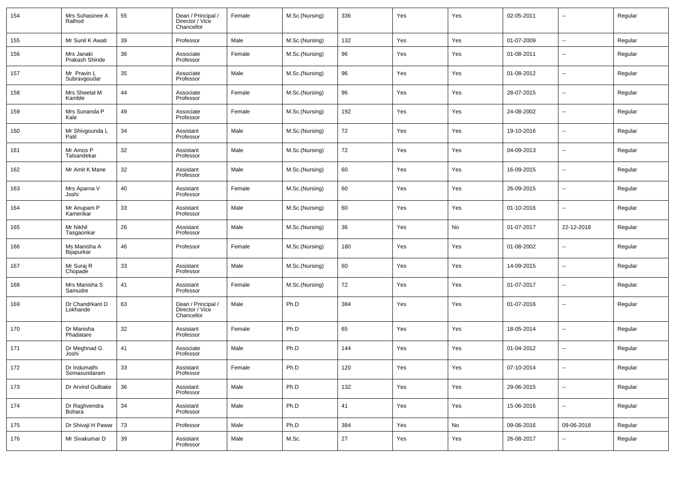| 154 | Mrs Suhasinee A<br>Rathod    | 55     | Dean / Principal /<br>Director / Vice<br>Chancellor | Female | M.Sc.(Nursing) | 336    | Yes | Yes | 02-05-2011 | --                       | Regular |
|-----|------------------------------|--------|-----------------------------------------------------|--------|----------------|--------|-----|-----|------------|--------------------------|---------|
| 155 | Mr Sunil K Awati             | 39     | Professor                                           | Male   | M.Sc.(Nursing) | 132    | Yes | Yes | 01-07-2009 | н.                       | Regular |
| 156 | Mrs Janaki<br>Prakash Shinde | 36     | Associate<br>Professor                              | Female | M.Sc.(Nursing) | 96     | Yes | Yes | 01-08-2011 | --                       | Regular |
| 157 | Mr Pravin L<br>Subravgoudar  | 35     | Associate<br>Professor                              | Male   | M.Sc.(Nursing) | 96     | Yes | Yes | 01-08-2012 | --                       | Regular |
| 158 | Mrs Sheetal M<br>Kamble      | 44     | Associate<br>Professor                              | Female | M.Sc.(Nursing) | 96     | Yes | Yes | 28-07-2015 | --                       | Regular |
| 159 | Mrs Sunanda P<br>Kale        | 49     | Associate<br>Professor                              | Female | M.Sc.(Nursing) | 192    | Yes | Yes | 24-08-2002 | --                       | Regular |
| 160 | Mr Shivgounda L<br>Patil     | 34     | Assistant<br>Professor                              | Male   | M.Sc.(Nursing) | 72     | Yes | Yes | 19-10-2016 | --                       | Regular |
| 161 | Mr Amos P<br>Talsandekar     | 32     | Assistant<br>Professor                              | Male   | M.Sc.(Nursing) | 72     | Yes | Yes | 04-09-2013 | --                       | Regular |
| 162 | Mr Amit K Mane               | 32     | Assistant<br>Professor                              | Male   | M.Sc.(Nursing) | 60     | Yes | Yes | 16-09-2015 | --                       | Regular |
| 163 | Mrs Aparna V<br>Joshi        | 40     | Assistant<br>Professor                              | Female | M.Sc.(Nursing) | 60     | Yes | Yes | 26-09-2015 | --                       | Regular |
| 164 | Mr Anupam P<br>Kamerikar     | 33     | Assistant<br>Professor                              | Male   | M.Sc.(Nursing) | 60     | Yes | Yes | 01-10-2016 | --                       | Regular |
| 165 | Mr Nikhil<br>Tasgaonkar      | 26     | Assistant<br>Professor                              | Male   | M.Sc.(Nursing) | 36     | Yes | No  | 01-07-2017 | 22-12-2018               | Regular |
| 166 | Ms Manisha A<br>Bijapurkar   | 46     | Professor                                           | Female | M.Sc.(Nursing) | 180    | Yes | Yes | 01-08-2002 | --                       | Regular |
| 167 | Mr Suraj R<br>Chopade        | 33     | Assistant<br>Professor                              | Male   | M.Sc.(Nursing) | 60     | Yes | Yes | 14-09-2015 | --                       | Regular |
| 168 | Mrs Manisha S<br>Samudre     | 41     | Assistant<br>Professor                              | Female | M.Sc.(Nursing) | 72     | Yes | Yes | 01-07-2017 | --                       | Regular |
| 169 | Dr Chandrkant D<br>Lokhande  | 63     | Dean / Principal /<br>Director / Vice<br>Chancellor | Male   | Ph.D           | 384    | Yes | Yes | 01-07-2016 | --                       | Regular |
| 170 | Dr Manisha<br>Phadatare      | 32     | Assistant<br>Professor                              | Female | Ph.D           | 65     | Yes | Yes | 18-05-2014 | --                       | Regular |
| 171 | Dr Meghnad G<br>Joshi        | 41     | Associate<br>Professor                              | Male   | Ph.D           | 144    | Yes | Yes | 01-04-2012 | --                       | Regular |
| 172 | Dr Indumathi<br>Somasundaram | 33     | Assistant<br>Professor                              | Female | Ph.D           | 120    | Yes | Yes | 07-10-2014 | −−                       | Regular |
| 173 | Dr Arvind Gulbake            | 36     | Assistant<br>Professor                              | Male   | Ph.D           | 132    | Yes | Yes | 29-06-2015 | щ.                       | Regular |
| 174 | Dr Raghvendra<br>Bohara      | $34\,$ | Assistant<br>Professor                              | Male   | Ph.D           | 41     | Yes | Yes | 15-06-2016 | $\overline{\phantom{a}}$ | Regular |
| 175 | Dr Shivaji H Pawar           | 73     | Professor                                           | Male   | Ph.D           | 384    | Yes | No  | 09-06-2016 | 09-06-2018               | Regular |
| 176 | Mr Sivakumar D               | 39     | Assistant<br>Professor                              | Male   | M.Sc.          | $27\,$ | Yes | Yes | 26-08-2017 | --                       | Regular |